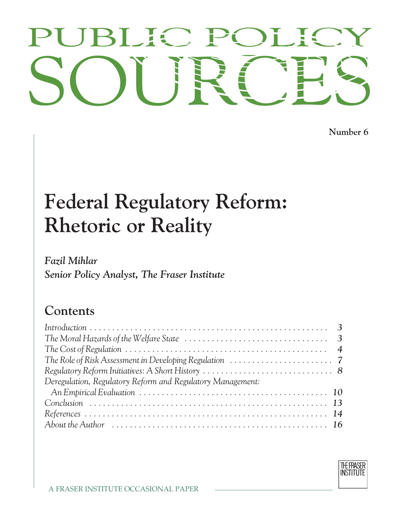# PUBLIC POLICY<br>SOURCES PUBLIC POLICY

**Number 6**

# **Federal Regulatory Reform: Rhetoric or Reality**

### *Fazil Mihlar Senior Policy Analyst, The Fraser Institute*

## **Contents**

| The Cost of Regulation $\ldots \ldots \ldots \ldots \ldots \ldots \ldots \ldots \ldots \ldots \ldots \ldots \ldots$ |  |
|---------------------------------------------------------------------------------------------------------------------|--|
|                                                                                                                     |  |
|                                                                                                                     |  |
| Deregulation, Regulatory Reform and Regulatory Management:                                                          |  |
|                                                                                                                     |  |
|                                                                                                                     |  |
|                                                                                                                     |  |
| About the Author $\dots\dots\dots\dots\dots\dots\dots\dots\dots\dots\dots\dots\dots\dots$                           |  |

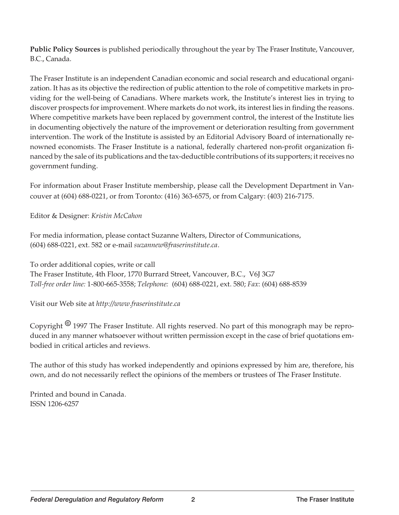**Public Policy Sources** is published periodically throughout the year by The Fraser Institute, Vancouver, B.C., Canada.

The Fraser Institute is an independent Canadian economic and social research and educational organization. It has as its objective the redirection of public attention to the role of competitive markets in providing for the well-being of Canadians. Where markets work, the Institute's interest lies in trying to discover prospects for improvement. Where markets do not work, its interest lies in finding the reasons. Where competitive markets have been replaced by government control, the interest of the Institute lies in documenting objectively the nature of the improvement or deterioration resulting from government intervention. The work of the Institute is assisted by an Editorial Advisory Board of internationally renowned economists. The Fraser Institute is a national, federally chartered non-profit organization financed by the sale of its publications and the tax-deductible contributions of its supporters; it receives no government funding.

For information about Fraser Institute membership, please call the Development Department in Vancouver at (604) 688-0221, or from Toronto: (416) 363-6575, or from Calgary: (403) 216-7175.

Editor & Designer: *Kristin McCahon*

For media information, please contact Suzanne Walters, Director of Communications, (604) 688-0221, ext. 582 or e-mail *suzannew@fraserinstitute.ca*.

To order additional copies, write or call The Fraser Institute, 4th Floor, 1770 Burrard Street, Vancouver, B.C., V6J 3G7 *Toll-free order line:* 1-800-665-3558; *Telephone:* (604) 688-0221, ext. 580; *Fax*: (604) 688-8539

Visit our Web site at *http://www.fraserinstitute.ca*

Copyright *<sup>8</sup>* 1997 The Fraser Institute. All rights reserved. No part of this monograph may be reproduced in any manner whatsoever without written permission except in the case of brief quotations embodied in critical articles and reviews.

The author of this study has worked independently and opinions expressed by him are, therefore, his own, and do not necessarily reflect the opinions of the members or trustees of The Fraser Institute.

Printed and bound in Canada. ISSN 1206-6257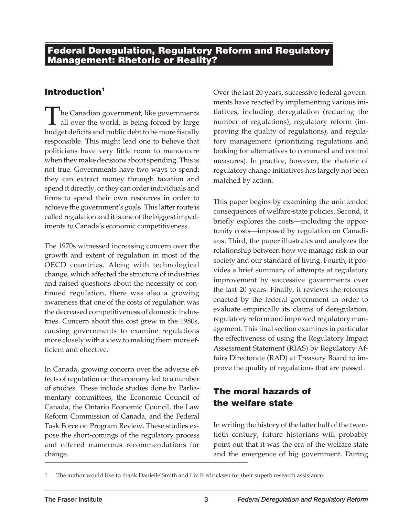#### **Introduction1**

The Canadian government, like governments<br>all over the world, is being forced by large<br>budget deficits and public debt to be more fiscally all over the world, is being forced by large budget deficits and public debt to be more fiscally responsible. This might lead one to believe that politicians have very little room to manoeuvre when they make decisions about spending. This is not true. Governments have two ways to spend: they can extract money through taxation and spend it directly, or they can order individuals and firms to spend their own resources in order to achieve the government's goals. This latter route is called regulation and it is one of the biggest impediments to Canada's economic competitiveness.

The 1970s witnessed increasing concern over the growth and extent of regulation in most of the OECD countries. Along with technological change, which affected the structure of industries and raised questions about the necessity of continued regulation, there was also a growing awareness that one of the costs of regulation was the decreased competitiveness of domestic industries. Concern about this cost grew in the 1980s, causing governments to examine regulations more closely with a view to making them more efficient and effective.

In Canada, growing concern over the adverse effects of regulation on the economy led to a number of studies. These include studies done by Parliamentary committees, the Economic Council of Canada, the Ontario Economic Council, the Law Reform Commission of Canada, and the Federal Task Force on Program Review. These studies expose the short-comings of the regulatory process and offered numerous recommendations for change.

Over the last 20 years, successive federal governments have reacted by implementing various initiatives, including deregulation (reducing the number of regulations), regulatory reform (improving the quality of regulations), and regulatory management (prioritizing regulations and looking for alternatives to command and control measures). In practice, however, the rhetoric of regulatory change initiatives has largely not been matched by action.

This paper begins by examining the unintended consequences of welfare-state policies. Second, it briefly explores the costs—including the opportunity costs—imposed by regulation on Canadians. Third, the paper illustrates and analyzes the relationship between how we manage risk in our society and our standard of living. Fourth, it provides a brief summary of attempts at regulatory improvement by successive governments over the last 20 years. Finally, it reviews the reforms enacted by the federal government in order to evaluate empirically its claims of deregulation, regulatory reform and improved regulatory management. This final section examines in particular the effectiveness of using the Regulatory Impact Assessment Statement (RIAS) by Regulatory Affairs Directorate (RAD) at Treasury Board to improve the quality of regulations that are passed.

#### **The moral hazards of the welfare state**

In writing the history of the latter half of the twentieth century, future historians will probably point out that it was the era of the welfare state and the emergence of big government. During

<sup>1</sup> The author would like to thank Danielle Smith and Liv Fredricksen for their superb research assistance.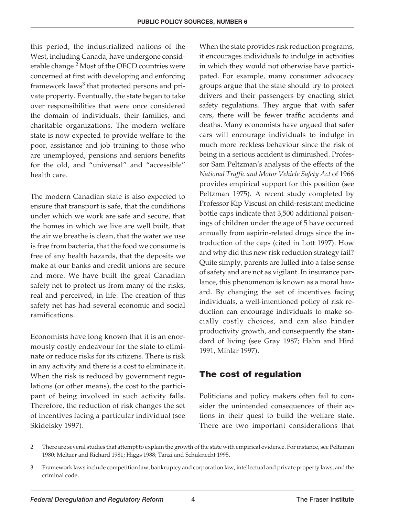this period, the industrialized nations of the West, including Canada, have undergone considerable change.<sup>2</sup> Most of the OECD countries were concerned at first with developing and enforcing framework laws<sup>3</sup> that protected persons and private property. Eventually, the state began to take over responsibilities that were once considered the domain of individuals, their families, and charitable organizations. The modern welfare state is now expected to provide welfare to the poor, assistance and job training to those who are unemployed, pensions and seniors benefits for the old, and "universal" and "accessible" health care.

The modern Canadian state is also expected to ensure that transport is safe, that the conditions under which we work are safe and secure, that the homes in which we live are well built, that the air we breathe is clean, that the water we use is free from bacteria, that the food we consume is free of any health hazards, that the deposits we make at our banks and credit unions are secure and more. We have built the great Canadian safety net to protect us from many of the risks, real and perceived, in life. The creation of this safety net has had several economic and social ramifications.

Economists have long known that it is an enormously costly endeavour for the state to eliminate or reduce risks for its citizens. There is risk in any activity and there is a cost to eliminate it. When the risk is reduced by government regulations (or other means), the cost to the participant of being involved in such activity falls. Therefore, the reduction of risk changes the set of incentives facing a particular individual (see Skidelsky 1997).

When the state provides risk reduction programs, it encourages individuals to indulge in activities in which they would not otherwise have participated. For example, many consumer advocacy groups argue that the state should try to protect drivers and their passengers by enacting strict safety regulations. They argue that with safer cars, there will be fewer traffic accidents and deaths. Many economists have argued that safer cars will encourage individuals to indulge in much more reckless behaviour since the risk of being in a serious accident is diminished. Professor Sam Peltzman's analysis of the effects of the *National Traffic and Motor Vehicle Safety Act* of 1966 provides empirical support for this position (see Peltzman 1975). A recent study completed by Professor Kip Viscusi on child-resistant medicine bottle caps indicate that 3,500 additional poisonings of children under the age of 5 have occurred annually from aspirin-related drugs since the introduction of the caps (cited in Lott 1997). How and why did this new risk reduction strategy fail? Quite simply, parents are lulled into a false sense of safety and are not as vigilant. In insurance parlance, this phenomenon is known as a moral hazard. By changing the set of incentives facing individuals, a well-intentioned policy of risk reduction can encourage individuals to make socially costly choices, and can also hinder productivity growth, and consequently the standard of living (see Gray 1987; Hahn and Hird 1991, Mihlar 1997).

#### **The cost of regulation**

Politicians and policy makers often fail to consider the unintended consequences of their actions in their quest to build the welfare state. There are two important considerations that

<sup>2</sup> There are several studies that attempt to explain the growth of the state with empirical evidence. For instance, see Peltzman 1980; Meltzer and Richard 1981; Higgs 1988; Tanzi and Schuknecht 1995.

<sup>3</sup> Framework laws include competition law, bankruptcy and corporation law, intellectual and private property laws, and the criminal code.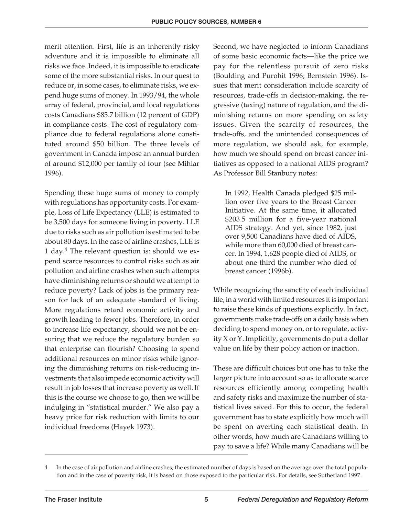merit attention. First, life is an inherently risky adventure and it is impossible to eliminate all risks we face. Indeed, it is impossible to eradicate some of the more substantial risks. In our quest to reduce or, in some cases, to eliminate risks, we expend huge sums of money. In 1993/94, the whole array of federal, provincial, and local regulations costs Canadians \$85.7 billion (12 percent of GDP) in compliance costs. The cost of regulatory compliance due to federal regulations alone constituted around \$50 billion. The three levels of government in Canada impose an annual burden of around \$12,000 per family of four (see Mihlar 1996).

Spending these huge sums of money to comply with regulations has opportunity costs. For example, Loss of Life Expectancy (LLE) is estimated to be 3,500 days for someone living in poverty. LLE due to risks such as air pollution is estimated to be about 80 days. In the case of airline crashes, LLE is 1 day.<sup>4</sup> The relevant question is: should we expend scarce resources to control risks such as air pollution and airline crashes when such attempts have diminishing returns or should we attempt to reduce poverty? Lack of jobs is the primary reason for lack of an adequate standard of living. More regulations retard economic activity and growth leading to fewer jobs. Therefore, in order to increase life expectancy, should we not be ensuring that we reduce the regulatory burden so that enterprise can flourish? Choosing to spend additional resources on minor risks while ignoring the diminishing returns on risk-reducing investments that also impede economic activity will result in job losses that increase poverty as well. If this is the course we choose to go, then we will be indulging in "statistical murder." We also pay a heavy price for risk reduction with limits to our individual freedoms (Hayek 1973).

Second, we have neglected to inform Canadians of some basic economic facts—like the price we pay for the relentless pursuit of zero risks (Boulding and Purohit 1996; Bernstein 1996). Issues that merit consideration include scarcity of resources, trade-offs in decision-making, the regressive (taxing) nature of regulation, and the diminishing returns on more spending on safety issues. Given the scarcity of resources, the trade-offs, and the unintended consequences of more regulation, we should ask, for example, how much we should spend on breast cancer initiatives as opposed to a national AIDS program? As Professor Bill Stanbury notes:

In 1992, Health Canada pledged \$25 million over five years to the Breast Cancer Initiative. At the same time, it allocated \$203.5 million for a five-year national AIDS strategy. And yet, since 1982, just over 9,500 Canadians have died of AIDS, while more than 60,000 died of breast cancer. In 1994, 1,628 people died of AIDS, or about one-third the number who died of breast cancer (1996b).

While recognizing the sanctity of each individual life, in a world with limited resources it is important to raise these kinds of questions explicitly. In fact, governments make trade-offs on a daily basis when deciding to spend money on, or to regulate, activity X or Y. Implicitly, governments do put a dollar value on life by their policy action or inaction.

These are difficult choices but one has to take the larger picture into account so as to allocate scarce resources efficiently among competing health and safety risks and maximize the number of statistical lives saved. For this to occur, the federal government has to state explicitly how much will be spent on averting each statistical death. In other words, how much are Canadians willing to pay to save a life? While many Canadians will be

<sup>4</sup> In the case of air pollution and airline crashes, the estimated number of days is based on the average over the total population and in the case of poverty risk, it is based on those exposed to the particular risk. For details, see Sutherland 1997.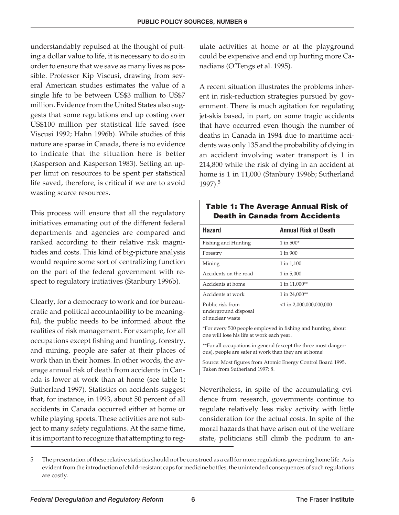understandably repulsed at the thought of putting a dollar value to life, it is necessary to do so in order to ensure that we save as many lives as possible. Professor Kip Viscusi, drawing from several American studies estimates the value of a single life to be between US\$3 million to US\$7 million. Evidence from the United States also suggests that some regulations end up costing over US\$100 million per statistical life saved (see Viscusi 1992; Hahn 1996b). While studies of this nature are sparse in Canada, there is no evidence to indicate that the situation here is better (Kasperson and Kasperson 1983). Setting an upper limit on resources to be spent per statistical life saved, therefore, is critical if we are to avoid wasting scarce resources.

This process will ensure that all the regulatory initiatives emanating out of the different federal departments and agencies are compared and ranked according to their relative risk magnitudes and costs. This kind of big-picture analysis would require some sort of centralizing function on the part of the federal government with respect to regulatory initiatives (Stanbury 1996b).

Clearly, for a democracy to work and for bureaucratic and political accountability to be meaningful, the public needs to be informed about the realities of risk management. For example, for all occupations except fishing and hunting, forestry, and mining, people are safer at their places of work than in their homes. In other words, the average annual risk of death from accidents in Canada is lower at work than at home (see table 1; Sutherland 1997). Statistics on accidents suggest that, for instance, in 1993, about 50 percent of all accidents in Canada occurred either at home or while playing sports. These activities are not subject to many safety regulations. At the same time, it is important to recognize that attempting to regulate activities at home or at the playground could be expensive and end up hurting more Canadians (O'Tengs et al. 1995).

A recent situation illustrates the problems inherent in risk-reduction strategies pursued by government. There is much agitation for regulating jet-skis based, in part, on some tragic accidents that have occurred even though the number of deaths in Canada in 1994 due to maritime accidents was only 135 and the probability of dying in an accident involving water transport is 1 in 214,800 while the risk of dying in an accident at home is 1 in 11,000 (Stanbury 1996b; Sutherland 1997).<sup>5</sup>

#### **Table 1: The Average Annual Risk of Death in Canada from Accidents**

| <b>Hazard</b>                                                                                                            | Annual Risk of Death       |
|--------------------------------------------------------------------------------------------------------------------------|----------------------------|
| Fishing and Hunting                                                                                                      | $1 in 500*$                |
| Forestry                                                                                                                 | 1 in 900                   |
| Mining                                                                                                                   | 1 in 1,100                 |
| Accidents on the road                                                                                                    | 1 in 5,000                 |
| Accidents at home                                                                                                        | 1 in 11,000**              |
| Accidents at work                                                                                                        | 1 in 24,000**              |
| Public risk from<br>underground disposal<br>of nuclear waste                                                             | $<$ 1 in 2,000,000,000,000 |
| *For every 500 people employed in fishing and hunting, about<br>one will lose his life at work each year.                |                            |
| **For all occupations in general (except the three most danger-<br>ous), people are safer at work than they are at home! |                            |
| Source: Most figures from Atomic Energy Control Board 1995.                                                              |                            |

Taken from Sutherland 1997: 8.

Nevertheless, in spite of the accumulating evidence from research, governments continue to regulate relatively less risky activity with little consideration for the actual costs. In spite of the moral hazards that have arisen out of the welfare state, politicians still climb the podium to an-

<sup>5</sup> The presentation of these relative statistics should not be construed as a call for more regulations governing home life. As is evident from the introduction of child-resistant caps for medicine bottles, the unintended consequences of such regulations are costly.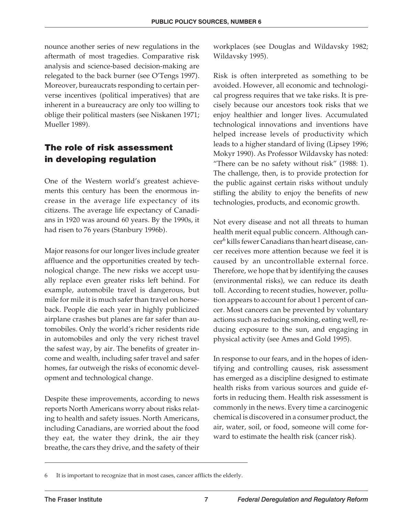nounce another series of new regulations in the aftermath of most tragedies. Comparative risk analysis and science-based decision-making are relegated to the back burner (see O'Tengs 1997). Moreover, bureaucrats responding to certain perverse incentives (political imperatives) that are inherent in a bureaucracy are only too willing to oblige their political masters (see Niskanen 1971; Mueller 1989).

#### **The role of risk assessment in developing regulation**

One of the Western world's greatest achievements this century has been the enormous increase in the average life expectancy of its citizens. The average life expectancy of Canadians in 1920 was around 60 years. By the 1990s, it had risen to 76 years (Stanbury 1996b).

Major reasons for our longer lives include greater affluence and the opportunities created by technological change. The new risks we accept usually replace even greater risks left behind. For example, automobile travel is dangerous, but mile for mile it is much safer than travel on horseback. People die each year in highly publicized airplane crashes but planes are far safer than automobiles. Only the world's richer residents ride in automobiles and only the very richest travel the safest way, by air. The benefits of greater income and wealth, including safer travel and safer homes, far outweigh the risks of economic development and technological change.

Despite these improvements, according to news reports North Americans worry about risks relating to health and safety issues. North Americans, including Canadians, are worried about the food they eat, the water they drink, the air they breathe, the cars they drive, and the safety of their workplaces (see Douglas and Wildavsky 1982; Wildavsky 1995).

Risk is often interpreted as something to be avoided. However, all economic and technological progress requires that we take risks. It is precisely because our ancestors took risks that we enjoy healthier and longer lives. Accumulated technological innovations and inventions have helped increase levels of productivity which leads to a higher standard of living (Lipsey 1996; Mokyr 1990). As Professor Wildavsky has noted: "There can be no safety without risk" (1988: 1). The challenge, then, is to provide protection for the public against certain risks without unduly stifling the ability to enjoy the benefits of new technologies, products, and economic growth.

Not every disease and not all threats to human health merit equal public concern. Although cancer<sup>6</sup> kills fewer Canadians than heart disease, cancer receives more attention because we feel it is caused by an uncontrollable external force. Therefore, we hope that by identifying the causes (environmental risks), we can reduce its death toll. According to recent studies, however, pollution appears to account for about 1 percent of cancer. Most cancers can be prevented by voluntary actions such as reducing smoking, eating well, reducing exposure to the sun, and engaging in physical activity (see Ames and Gold 1995).

In response to our fears, and in the hopes of identifying and controlling causes, risk assessment has emerged as a discipline designed to estimate health risks from various sources and guide efforts in reducing them. Health risk assessment is commonly in the news. Every time a carcinogenic chemical is discovered in a consumer product, the air, water, soil, or food, someone will come forward to estimate the health risk (cancer risk).

It is important to recognize that in most cases, cancer afflicts the elderly.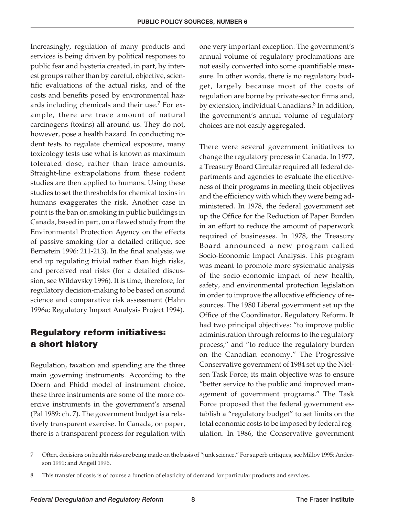Increasingly, regulation of many products and services is being driven by political responses to public fear and hysteria created, in part, by interest groups rather than by careful, objective, scientific evaluations of the actual risks, and of the costs and benefits posed by environmental hazards including chemicals and their use.<sup>7</sup> For example, there are trace amount of natural carcinogens (toxins) all around us. They do not, however, pose a health hazard. In conducting rodent tests to regulate chemical exposure, many toxicology tests use what is known as maximum tolerated dose, rather than trace amounts. Straight-line extrapolations from these rodent studies are then applied to humans. Using these studies to set the thresholds for chemical toxins in humans exaggerates the risk. Another case in point is the ban on smoking in public buildings in Canada, based in part, on a flawed study from the Environmental Protection Agency on the effects of passive smoking (for a detailed critique, see Bernstein 1996: 211-213). In the final analysis, we end up regulating trivial rather than high risks, and perceived real risks (for a detailed discussion, see Wildavsky 1996). It is time, therefore, for regulatory decision-making to be based on sound science and comparative risk assessment (Hahn 1996a; Regulatory Impact Analysis Project 1994).

#### **Regulatory reform initiatives: a short history**

Regulation, taxation and spending are the three main governing instruments. According to the Doern and Phidd model of instrument choice, these three instruments are some of the more coercive instruments in the government's arsenal (Pal 1989: ch. 7). The government budget is a relatively transparent exercise. In Canada, on paper, there is a transparent process for regulation with one very important exception. The government's annual volume of regulatory proclamations are not easily converted into some quantifiable measure. In other words, there is no regulatory budget, largely because most of the costs of regulation are borne by private-sector firms and, by extension, individual Canadians.<sup>8</sup> In addition, the government's annual volume of regulatory choices are not easily aggregated.

There were several government initiatives to change the regulatory process in Canada. In 1977, a Treasury Board Circular required all federal departments and agencies to evaluate the effectiveness of their programs in meeting their objectives and the efficiency with which they were being administered. In 1978, the federal government set up the Office for the Reduction of Paper Burden in an effort to reduce the amount of paperwork required of businesses. In 1978, the Treasury Board announced a new program called Socio-Economic Impact Analysis. This program was meant to promote more systematic analysis of the socio-economic impact of new health, safety, and environmental protection legislation in order to improve the allocative efficiency of resources. The 1980 Liberal government set up the Office of the Coordinator, Regulatory Reform. It had two principal objectives: "to improve public administration through reforms to the regulatory process," and "to reduce the regulatory burden on the Canadian economy." The Progressive Conservative government of 1984 set up the Nielsen Task Force; its main objective was to ensure "better service to the public and improved management of government programs." The Task Force proposed that the federal government establish a "regulatory budget" to set limits on the total economic costs to be imposed by federal regulation. In 1986, the Conservative government

<sup>7</sup> Often, decisions on health risks are being made on the basis of "junk science." For superb critiques, see Milloy 1995; Anderson 1991; and Angell 1996.

<sup>8</sup> This transfer of costs is of course a function of elasticity of demand for particular products and services.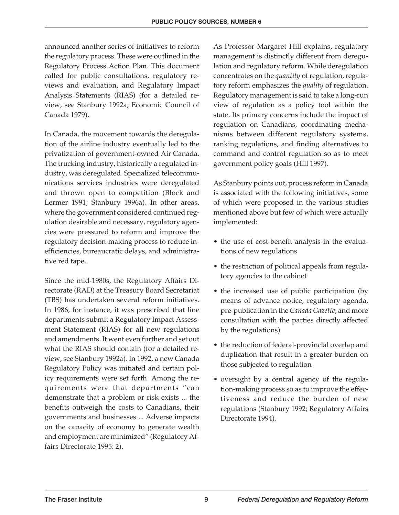announced another series of initiatives to reform the regulatory process. These were outlined in the Regulatory Process Action Plan. This document called for public consultations, regulatory reviews and evaluation, and Regulatory Impact Analysis Statements (RIAS) (for a detailed review, see Stanbury 1992a; Economic Council of Canada 1979).

In Canada, the movement towards the deregulation of the airline industry eventually led to the privatization of government-owned Air Canada. The trucking industry, historically a regulated industry, was deregulated. Specialized telecommunications services industries were deregulated and thrown open to competition (Block and Lermer 1991; Stanbury 1996a). In other areas, where the government considered continued regulation desirable and necessary, regulatory agencies were pressured to reform and improve the regulatory decision-making process to reduce inefficiencies, bureaucratic delays, and administrative red tape.

Since the mid-1980s, the Regulatory Affairs Directorate (RAD) at the Treasury Board Secretariat (TBS) has undertaken several reform initiatives. In 1986, for instance, it was prescribed that line departments submit a Regulatory Impact Assessment Statement (RIAS) for all new regulations and amendments. It went even further and set out what the RIAS should contain (for a detailed review, see Stanbury 1992a). In 1992, a new Canada Regulatory Policy was initiated and certain policy requirements were set forth. Among the requirements were that departments "can demonstrate that a problem or risk exists ... the benefits outweigh the costs to Canadians, their governments and businesses ... Adverse impacts on the capacity of economy to generate wealth and employment are minimized" (Regulatory Affairs Directorate 1995: 2).

As Professor Margaret Hill explains, regulatory management is distinctly different from deregulation and regulatory reform. While deregulation concentrates on the *quantity* of regulation, regulatory reform emphasizes the *quality* of regulation. Regulatory management is said to take a long-run view of regulation as a policy tool within the state. Its primary concerns include the impact of regulation on Canadians, coordinating mechanisms between different regulatory systems, ranking regulations, and finding alternatives to command and control regulation so as to meet government policy goals (Hill 1997).

As Stanbury points out, process reform in Canada is associated with the following initiatives, some of which were proposed in the various studies mentioned above but few of which were actually implemented:

- the use of cost-benefit analysis in the evaluations of new regulations
- the restriction of political appeals from regulatory agencies to the cabinet
- the increased use of public participation (by means of advance notice, regulatory agenda, pre-publication in the *Canada Gazette*, and more consultation with the parties directly affected by the regulations)
- the reduction of federal-provincial overlap and duplication that result in a greater burden on those subjected to regulation
- oversight by a central agency of the regulation-making process so as to improve the effectiveness and reduce the burden of new regulations (Stanbury 1992; Regulatory Affairs Directorate 1994).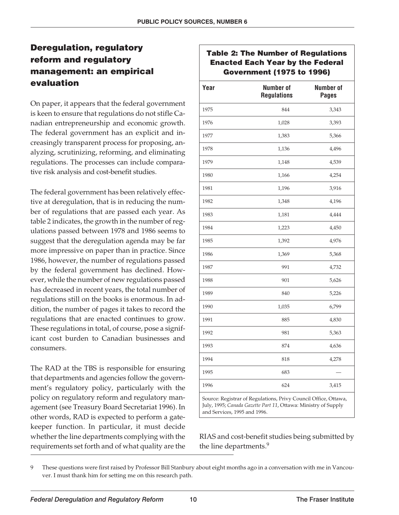#### **Deregulation, regulatory reform and regulatory management: an empirical evaluation**

On paper, it appears that the federal government is keen to ensure that regulations do not stifle Canadian entrepreneurship and economic growth. The federal government has an explicit and increasingly transparent process for proposing, analyzing, scrutinizing, reforming, and eliminating regulations. The processes can include comparative risk analysis and cost-benefit studies.

The federal government has been relatively effective at deregulation, that is in reducing the number of regulations that are passed each year. As table 2 indicates, the growth in the number of regulations passed between 1978 and 1986 seems to suggest that the deregulation agenda may be far more impressive on paper than in practice. Since 1986, however, the number of regulations passed by the federal government has declined. However, while the number of new regulations passed has decreased in recent years, the total number of regulations still on the books is enormous. In addition, the number of pages it takes to record the regulations that are enacted continues to grow. These regulations in total, of course, pose a significant cost burden to Canadian businesses and consumers.

The RAD at the TBS is responsible for ensuring that departments and agencies follow the government's regulatory policy, particularly with the policy on regulatory reform and regulatory management (see Treasury Board Secretariat 1996). In other words, RAD is expected to perform a gatekeeper function. In particular, it must decide whether the line departments complying with the requirements set forth and of what quality are the

#### **Table 2: The Number of Regulations Enacted Each Year by the Federal Government (1975 to 1996)**

| Year | <b>Number of</b><br><b>Regulations</b> | <b>Number of</b><br><b>Pages</b> |
|------|----------------------------------------|----------------------------------|
| 1975 | 844                                    | 3,343                            |
| 1976 | 1,028                                  | 3,393                            |
| 1977 | 1,383                                  | 5,366                            |
| 1978 | 1,136                                  | 4,496                            |
| 1979 | 1,148                                  | 4,539                            |
| 1980 | 1,166                                  | 4,254                            |
| 1981 | 1,196                                  | 3,916                            |
| 1982 | 1,348                                  | 4,196                            |
| 1983 | 1,181                                  | 4,444                            |
| 1984 | 1,223                                  | 4,450                            |
| 1985 | 1,392                                  | 4,976                            |
| 1986 | 1,369                                  | 5,368                            |
| 1987 | 991                                    | 4,732                            |
| 1988 | 901                                    | 5,626                            |
| 1989 | 840                                    | 5,226                            |
| 1990 | 1,035                                  | 6,799                            |
| 1991 | 885                                    | 4,830                            |
| 1992 | 981                                    | 5,363                            |
| 1993 | 874                                    | 4,636                            |
| 1994 | 818                                    | 4,278                            |
| 1995 | 683                                    |                                  |
| 1996 | 624                                    | 3,415                            |
|      |                                        |                                  |

Source: Registrar of Regulations, Privy Council Office, Ottawa, July, 1995; *Canada Gazette Part 11*, Ottawa: Ministry of Supply and Services, 1995 and 1996.

RIAS and cost-benefit studies being submitted by the line departments.<sup>9</sup>

<sup>9</sup> These questions were first raised by Professor Bill Stanbury about eight months ago in a conversation with me in Vancouver. I must thank him for setting me on this research path.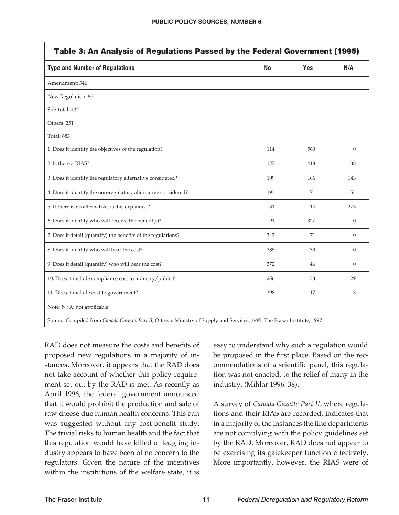| <b>Type and Number of Regulations</b>                          | No  | Yes | N/A              |
|----------------------------------------------------------------|-----|-----|------------------|
| Amendment: 346                                                 |     |     |                  |
| New Regulation: 86                                             |     |     |                  |
| Sub-total: 432                                                 |     |     |                  |
| Others: 251                                                    |     |     |                  |
| <b>Total: 683</b>                                              |     |     |                  |
| 1. Does it identify the objectives of the regulation?          | 114 | 569 | $\boldsymbol{0}$ |
| 2. Is there a RIAS?                                            | 127 | 418 | 138              |
| 3. Does it identify the regulatory alternative considered?     | 109 | 166 | 143              |
| 4. Does it identify the non-regulatory alternative considered? | 193 | 71  | 154              |
| 5. If there is no alternative, is this explained?              | 31  | 114 | 273              |
| 6. Does it identify who will receive the benefit(s)?           | 91  | 327 | $\Omega$         |
| 7. Does it detail (quantify) the benefits of the regulations?  | 347 | 71  | $\overline{0}$   |
| 8. Does it identify who will bear the cost?                    | 285 | 133 | $\overline{0}$   |
| 9. Does it detail (quantify) who will bear the cost?           | 372 | 46  | $\overline{0}$   |
| 10. Does it include compliance cost to industry/public?        | 256 | 33  | 129              |
| 11. Does it include cost to government?                        | 398 | 17  | 3                |

RAD does not measure the costs and benefits of proposed new regulations in a majority of instances. Moreover, it appears that the RAD does not take account of whether this policy requirement set out by the RAD is met. As recently as April 1996, the federal government announced that it would prohibit the production and sale of raw cheese due human health concerns. This ban was suggested without any cost-benefit study. The trivial risks to human health and the fact that this regulation would have killed a fledgling industry appears to have been of no concern to the regulators. Given the nature of the incentives within the institutions of the welfare state, it is

easy to understand why such a regulation would be proposed in the first place. Based on the recommendations of a scientific panel, this regulation was not enacted, to the relief of many in the industry, (Mihlar 1996: 38).

A survey of *Canada Gazette Part II*, where regulations and their RIAS are recorded, indicates that in a majority of the instances the line departments are not complying with the policy guidelines set by the RAD. Moreover, RAD does not appear to be exercising its gatekeeper function effectively. More importantly, however, the RIAS were of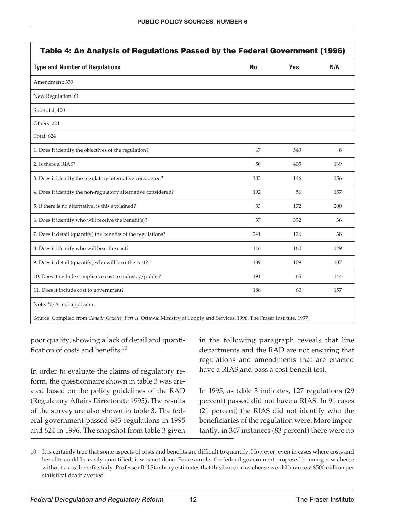| <b>Type and Number of Regulations</b>                          | No  | <b>Yes</b> | N/A |
|----------------------------------------------------------------|-----|------------|-----|
| Amendment: 339                                                 |     |            |     |
| New Regulation: 61                                             |     |            |     |
| Sub-total: 400                                                 |     |            |     |
| Others: 224                                                    |     |            |     |
| <b>Total: 624</b>                                              |     |            |     |
| 1. Does it identify the objectives of the regulation?          | 67  | 549        | 8   |
| 2. Is there a RIAS?                                            | 50  | 405        | 169 |
| 3. Does it identify the regulatory alternative considered?     | 103 | 146        | 156 |
| 4. Does it identify the non-regulatory alternative considered? | 192 | 56         | 157 |
| 5. If there is no alternative, is this explained?              | 33  | 172        | 200 |
| 6. Does it identify who will receive the benefit(s)?           | 37  | 332        | 36  |
| 7. Does it detail (quantify) the benefits of the regulations?  | 241 | 126        | 38  |
| 8. Does it identify who will bear the cost?                    | 116 | 160        | 129 |
| 9. Does it detail (quantify) who will bear the cost?           | 189 | 109        | 107 |
| 10. Does it include compliance cost to industry/public?        | 191 | 65         | 144 |
| 11. Does it include cost to government?                        | 188 | 60         | 157 |

poor quality, showing a lack of detail and quantification of costs and benefits. $10$ 

In order to evaluate the claims of regulatory reform, the questionnaire shown in table 3 was created based on the policy guidelines of the RAD (Regulatory Affairs Directorate 1995). The results of the survey are also shown in table 3. The federal government passed 683 regulations in 1995 and 624 in 1996. The snapshot from table 3 given

in the following paragraph reveals that line departments and the RAD are not ensuring that regulations and amendments that are enacted have a RIAS and pass a cost-benefit test.

In 1995, as table 3 indicates, 127 regulations (29 percent) passed did not have a RIAS. In 91 cases (21 percent) the RIAS did not identify who the beneficiaries of the regulation were. More importantly, in 347 instances (83 percent) there were no

<sup>10</sup> It is certainly true that some aspects of costs and benefits are difficult to quantify. However, even in cases where costs and benefits could be easily quantified, it was not done. For example, the federal government proposed banning raw cheese without a cost benefit study. Professor Bill Stanbury estimates that this ban on raw cheese would have cost \$500 million per statistical death averted.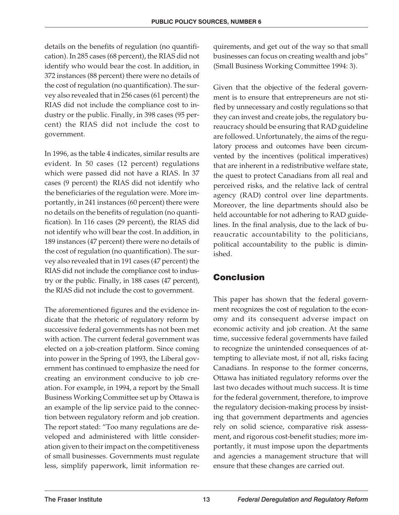details on the benefits of regulation (no quantification). In 285 cases (68 percent), the RIAS did not identify who would bear the cost. In addition, in 372 instances (88 percent) there were no details of the cost of regulation (no quantification). The survey also revealed that in 256 cases (61 percent) the RIAS did not include the compliance cost to industry or the public. Finally, in 398 cases (95 percent) the RIAS did not include the cost to government.

In 1996, as the table 4 indicates, similar results are evident. In 50 cases (12 percent) regulations which were passed did not have a RIAS. In 37 cases (9 percent) the RIAS did not identify who the beneficiaries of the regulation were. More importantly, in 241 instances (60 percent) there were no details on the benefits of regulation (no quantification). In 116 cases (29 percent), the RIAS did not identify who will bear the cost. In addition, in 189 instances (47 percent) there were no details of the cost of regulation (no quantification). The survey also revealed that in 191 cases (47 percent) the RIAS did not include the compliance cost to industry or the public. Finally, in 188 cases (47 percent), the RIAS did not include the cost to government.

The aforementioned figures and the evidence indicate that the rhetoric of regulatory reform by successive federal governments has not been met with action. The current federal government was elected on a job-creation platform. Since coming into power in the Spring of 1993, the Liberal government has continued to emphasize the need for creating an environment conducive to job creation. For example, in 1994, a report by the Small Business Working Committee set up by Ottawa is an example of the lip service paid to the connection between regulatory reform and job creation. The report stated: "Too many regulations are developed and administered with little consideration given to their impact on the competitiveness of small businesses. Governments must regulate less, simplify paperwork, limit information requirements, and get out of the way so that small businesses can focus on creating wealth and jobs" (Small Business Working Committee 1994: 3).

Given that the objective of the federal government is to ensure that entrepreneurs are not stifled by unnecessary and costly regulations so that they can invest and create jobs, the regulatory bureaucracy should be ensuring that RAD guideline are followed. Unfortunately, the aims of the regulatory process and outcomes have been circumvented by the incentives (political imperatives) that are inherent in a redistributive welfare state, the quest to protect Canadians from all real and perceived risks, and the relative lack of central agency (RAD) control over line departments. Moreover, the line departments should also be held accountable for not adhering to RAD guidelines. In the final analysis, due to the lack of bureaucratic accountability to the politicians, political accountability to the public is diminished.

#### **Conclusion**

This paper has shown that the federal government recognizes the cost of regulation to the economy and its consequent adverse impact on economic activity and job creation. At the same time, successive federal governments have failed to recognize the unintended consequences of attempting to alleviate most, if not all, risks facing Canadians. In response to the former concerns, Ottawa has initiated regulatory reforms over the last two decades without much success. It is time for the federal government, therefore, to improve the regulatory decision-making process by insisting that government departments and agencies rely on solid science, comparative risk assessment, and rigorous cost-benefit studies; more importantly, it must impose upon the departments and agencies a management structure that will ensure that these changes are carried out.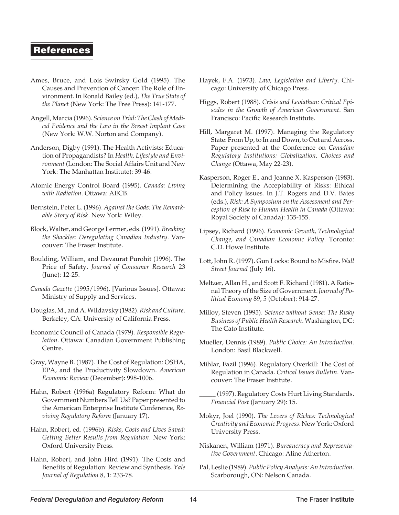#### **References**

- Ames, Bruce, and Lois Swirsky Gold (1995). The Causes and Prevention of Cancer: The Role of Environment. In Ronald Bailey (ed.), *The True State of the Planet* (New York: The Free Press): 141-177.
- Angell, Marcia (1996). *Science on Trial: The Clash of Medical Evidence and the Law in the Breast Implant Case* (New York: W.W. Norton and Company).
- Anderson, Digby (1991). The Health Activists: Education of Propagandists? In *Health, Lifestyle and Environment* (London: The Social Affairs Unit and New York: The Manhattan Institute): 39-46.
- Atomic Energy Control Board (1995). *Canada: Living with Radiation*. Ottawa: AECB.
- Bernstein, Peter L. (1996). *Against the Gods: The Remarkable Story of Risk*. New York: Wiley.
- Block, Walter, and George Lermer, eds. (1991). *Breaking the Shackles: Deregulating Canadian Industry*. Vancouver: The Fraser Institute.
- Boulding, William, and Devaurat Purohit (1996). The Price of Safety. *Journal of Consumer Research* 23 (June): 12-25.
- *Canada Gazette* (1995/1996). [Various Issues]. Ottawa: Ministry of Supply and Services.
- Douglas, M., and A. Wildavsky (1982).*Risk and Culture*. Berkeley, CA: University of California Press.
- Economic Council of Canada (1979). *Responsible Regulation*. Ottawa: Canadian Government Publishing Centre.
- Gray, Wayne B. (1987). The Cost of Regulation: OSHA, EPA, and the Productivity Slowdown. *American Economic Review* (December): 998-1006.
- Hahn, Robert (1996a) Regulatory Reform: What do Government Numbers Tell Us? Paper presented to the American Enterprise Institute Conference, *Reviving Regulatory Reform* (January 17).
- Hahn, Robert, ed. (1996b). *Risks, Costs and Lives Saved: Getting Better Results from Regulation*. New York: Oxford University Press.
- Hahn, Robert, and John Hird (1991). The Costs and Benefits of Regulation: Review and Synthesis. *Yale Journal of Regulation* 8, 1: 233-78.
- Hayek, F.A. (1973). *Law, Legislation and Liberty*. Chicago: University of Chicago Press.
- Higgs, Robert (1988). *Crisis and Leviathan: Critical Episodes in the Growth of American Government.* San Francisco: Pacific Research Institute.
- Hill, Margaret M. (1997). Managing the Regulatory State: From Up, to In and Down, to Out and Across. Paper presented at the Conference on *Canadian Regulatory Institutions: Globalization, Choices and Change* (Ottawa, May 22-23).
- Kasperson, Roger E., and Jeanne X. Kasperson (1983). Determining the Acceptability of Risks: Ethical and Policy Issues. In J.T. Rogers and D.V. Bates (eds.), *Risk: A Symposium on the Assessment and Perception of Risk to Human Health in Canada* (Ottawa: Royal Society of Canada): 135-155.
- Lipsey, Richard (1996). *Economic Growth, Technological Change, and Canadian Economic Policy*. Toronto: C.D. Howe Institute.
- Lott, John R. (1997). Gun Locks: Bound to Misfire. *Wall Street Journal* (July 16).
- Meltzer, Allan H., and Scott F. Richard (1981). A Rational Theory of the Size of Government. *Journal of Political Economy* 89, 5 (October): 914-27.
- Milloy, Steven (1995). *Science without Sense: The Risky Business of Public Health Research*. Washington, DC: The Cato Institute.
- Mueller, Dennis (1989). *Public Choice: An Introduction*. London: Basil Blackwell.
- Mihlar, Fazil (1996). Regulatory Overkill: The Cost of Regulation in Canada. *Critical Issues Bulletin.* Vancouver: The Fraser Institute.
	- (1997). Regulatory Costs Hurt Living Standards. *Financial Post* (January 29): 15.
- Mokyr, Joel (1990). *The Levers of Riches: Technological Creativity and Economic Progress*. New York: Oxford University Press.
- Niskanen, William (1971). *Bureaucracy and Representative Government*. Chicago: Aline Atherton.
- Pal, Leslie (1989).*Public Policy Analysis: An Introduction*. Scarborough, ON: Nelson Canada.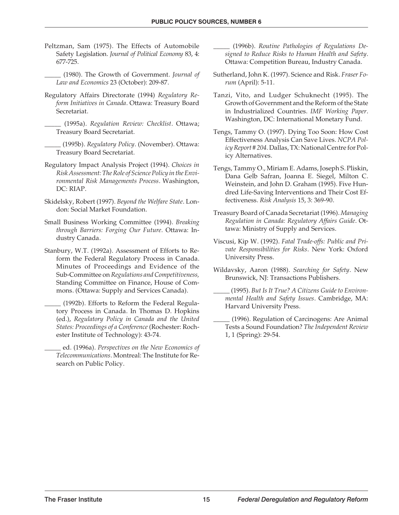- Peltzman, Sam (1975). The Effects of Automobile Safety Legislation. *Journal of Political Economy* 83, 4: 677-725.
- \_\_\_\_\_ (1980). The Growth of Government. *Journal of Law and Economics* 23 (October): 209-87.
- Regulatory Affairs Directorate (1994) *Regulatory Reform Initiatives in Canada*. Ottawa: Treasury Board Secretariat.
- \_\_\_\_\_ (1995a). *Regulation Review: Checklist*. Ottawa; Treasury Board Secretariat.
- \_\_\_\_\_ (1995b). *Regulatory Policy*. (November). Ottawa: Treasury Board Secretariat.
- Regulatory Impact Analysis Project (1994). *Choices in Risk Assessment: The Role of Science Policy in the Environmental Risk Managements Process*. Washington, DC: RIAP.
- Skidelsky, Robert (1997). *Beyond the Welfare State*. London: Social Market Foundation.
- Small Business Working Committee (1994). *Breaking through Barriers: Forging Our Future.* Ottawa: Industry Canada.
- Stanbury, W.T. (1992a). Assessment of Efforts to Reform the Federal Regulatory Process in Canada. Minutes of Proceedings and Evidence of the Sub-Committee on *Regulations and Competitiveness,* Standing Committee on Finance, House of Commons. (Ottawa: Supply and Services Canada).
	- \_\_\_\_\_ (1992b). Efforts to Reform the Federal Regulatory Process in Canada. In Thomas D. Hopkins (ed.), *Regulatory Policy in Canada and the United States: Proceedings of a Conference* (Rochester: Rochester Institute of Technology): 43-74.
	- \_\_\_\_\_ ed. (1996a). *Perspectives on the New Economics of Telecommunications*. Montreal: The Institute for Research on Public Policy.

\_\_\_\_\_ (1996b). *Routine Pathologies of Regulations Designed to Reduce Risks to Human Health and Safety*. Ottawa: Competition Bureau, Industry Canada.

- Sutherland, John K. (1997). Science and Risk. *Fraser Forum* (April): 5-11.
- Tanzi, Vito, and Ludger Schuknecht (1995). The Growth of Government and the Reform of the State in Industrialized Countries. *IMF Working Paper*. Washington, DC: International Monetary Fund.
- Tengs, Tammy O. (1997). Dying Too Soon: How Cost Effectiveness Analysis Can Save Lives. *NCPA Policy Report # 204.*Dallas, TX: National Centre for Policy Alternatives.
- Tengs, Tammy O., Miriam E. Adams, Joseph S. Pliskin, Dana Gelb Safran, Joanna E. Siegel, Milton C. Weinstein, and John D. Graham (1995). Five Hundred Life-Saving Interventions and Their Cost Effectiveness. *Risk Analysis* 15, 3: 369-90.
- Treasury Board of Canada Secretariat (1996). *Managing Regulation in Canada: Regulatory Affairs Guide*. Ottawa: Ministry of Supply and Services.
- Viscusi, Kip W. (1992). *Fatal Trade-offs: Public and Private Responsibilities for Risks*. New York: Oxford University Press.
- Wildavsky, Aaron (1988). *Searching for Safety*. New Brunswick, NJ: Transactions Publishers.
	- \_\_\_\_\_ (1995). *But Is It True? A Citizens Guide to Environmental Health and Safety Issues*. Cambridge, MA: Harvard University Press.
	- \_\_\_\_\_ (1996). Regulation of Carcinogens: Are Animal Tests a Sound Foundation? *The Independent Review* 1, 1 (Spring): 29-54.